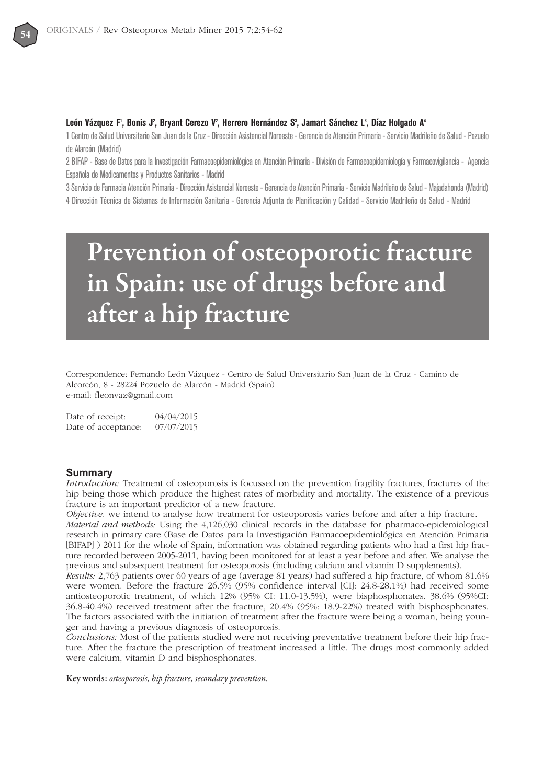

## León Vázquez F<sup>1</sup>, Bonis J<sup>2</sup>, Bryant Cerezo V<sup>2</sup>, Herrero Hernández S<sup>3</sup>, Jamart Sánchez L<sup>3</sup>, Díaz Holgado A<sup>4</sup>

1 Centro de Salud Universitario San Juan de la Cruz - Dirección Asistencial Noroeste - Gerencia de Atención Primaria - Servicio Madrileño de Salud - Pozuelo de Alarcón (Madrid)

2 BIFAP - Base de Datos para la Investigación Farmacoepidemiológica en Atención Primaria - División de Farmacoepidemiología y Farmacovigilancia - Agencia Española de Medicamentos y Productos Sanitarios - Madrid

3 Servicio de Farmacia Atención Primaria - Dirección Asistencial Noroeste - Gerencia de Atención Primaria - Servicio Madrileño de Salud - Majadahonda (Madrid) 4 Dirección Técnica de Sistemas de Información Sanitaria - Gerencia Adjunta de Planificación y Calidad - Servicio Madrileño de Salud - Madrid

# **Prevention of osteoporotic fracture in Spain: use of drugs before and after a hip fracture**

Correspondence: Fernando León Vázquez - Centro de Salud Universitario San Juan de la Cruz - Camino de Alcorcón, 8 - 28224 Pozuelo de Alarcón - Madrid (Spain) e-mail: fleonvaz@gmail.com

Date of receipt: 04/04/2015 Date of acceptance: 07/07/2015

# **Summary**

*Introduction:* Treatment of osteoporosis is focussed on the prevention fragility fractures, fractures of the hip being those which produce the highest rates of morbidity and mortality. The existence of a previous fracture is an important predictor of a new fracture.

*Objective:* we intend to analyse how treatment for osteoporosis varies before and after a hip fracture. *Material and methods:* Using the 4,126,030 clinical records in the database for pharmaco-epidemiological research in primary care (Base de Datos para la Investigación Farmacoepidemiológica en Atención Primaria [BIFAP] ) 2011 for the whole of Spain, information was obtained regarding patients who had a first hip fracture recorded between 2005-2011, having been monitored for at least a year before and after. We analyse the

previous and subsequent treatment for osteoporosis (including calcium and vitamin D supplements). *Results:* 2,763 patients over 60 years of age (average 81 years) had suffered a hip fracture, of whom 81.6% were women. Before the fracture 26.5% (95% confidence interval [CI]: 24.8-28.1%) had received some antiosteoporotic treatment, of which 12% (95% CI: 11.0-13.5%), were bisphosphonates. 38.6% (95%CI: 36.8-40.4%) received treatment after the fracture, 20.4% (95%: 18.9-22%) treated with bisphosphonates. The factors associated with the initiation of treatment after the fracture were being a woman, being younger and having a previous diagnosis of osteoporosis.

*Conclusions:* Most of the patients studied were not receiving preventative treatment before their hip fracture. After the fracture the prescription of treatment increased a little. The drugs most commonly added were calcium, vitamin D and bisphosphonates.

**Key words:** *osteoporosis, hip fracture, secondary prevention.*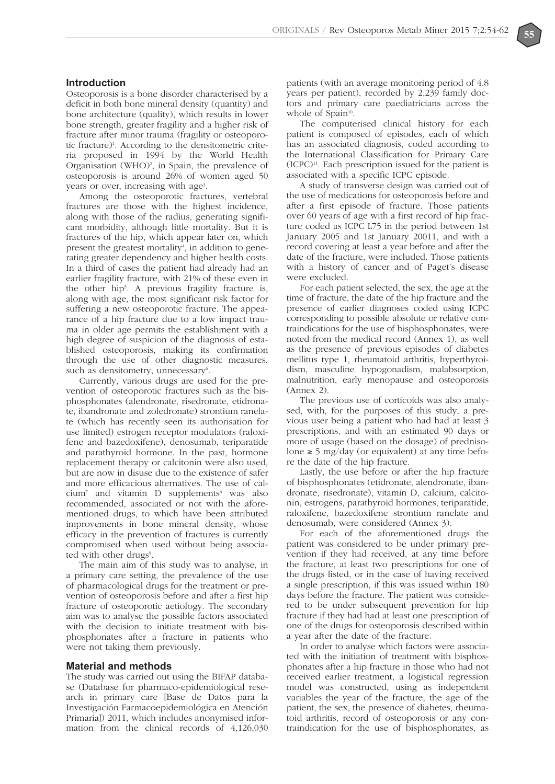#### **Introduction**

Osteoporosis is a bone disorder characterised by a deficit in both bone mineral density (quantity) and bone architecture (quality), which results in lower bone strength, greater fragility and a higher risk of fracture after minor trauma (fragility or osteoporotic fracture)<sup>1</sup>. According to the densitometric criteria proposed in 1994 by the World Health Organisation  $(WHO)<sup>2</sup>$ , in Spain, the prevalence of osteoporosis is around 26% of women aged 50 years or over, increasing with age<sup>3</sup>.

Among the osteoporotic fractures, vertebral fractures are those with the highest incidence, along with those of the radius, generating significant morbidity, although little mortality. But it is fractures of the hip, which appear later on, which present the greatest mortality<sup>4</sup>, in addition to generating greater dependency and higher health costs. In a third of cases the patient had already had an earlier fragility fracture, with 21% of these even in the other hip5 . A previous fragility fracture is, along with age, the most significant risk factor for suffering a new osteoporotic fracture. The appearance of a hip fracture due to a low impact trauma in older age permits the establishment with a high degree of suspicion of the diagnosis of established osteoporosis, making its confirmation through the use of other diagnostic measures, such as densitometry, unnecessary<sup>6</sup>.

Currently, various drugs are used for the prevention of osteoporotic fractures such as the bisphosphonates (alendronate, risedronate, etidronate, ibandronate and zoledronate) strontium ranelate (which has recently seen its authorisation for use limited) estrogen receptor modulators (raloxifene and bazedoxifene), denosumab, teriparatide and parathyroid hormone. In the past, hormone replacement therapy or calcitonin were also used, but are now in disuse due to the existence of safer and more efficacious alternatives. The use of calcium<sup>7</sup> and vitamin D supplements<sup>8</sup> was also recommended, associated or not with the aforementioned drugs, to which have been attributed improvements in bone mineral density, whose efficacy in the prevention of fractures is currently compromised when used without being associated with other drugs<sup>9</sup>.

The main aim of this study was to analyse, in a primary care setting, the prevalence of the use of pharmacological drugs for the treatment or prevention of osteoporosis before and after a first hip fracture of osteoporotic aetiology. The secondary aim was to analyse the possible factors associated with the decision to initiate treatment with bisphosphonates after a fracture in patients who were not taking them previously.

## **Material and methods**

The study was carried out using the BIFAP database (Database for pharmaco-epidemiological research in primary care [Base de Datos para la Investigación Farmacoepidemiológica en Atención Primaria]) 2011, which includes anonymised information from the clinical records of 4,126,030 patients (with an average monitoring period of 4.8 years per patient), recorded by 2,239 family doctors and primary care paediatricians across the whole of Spain $10$ .

The computerised clinical history for each patient is composed of episodes, each of which has an associated diagnosis, coded according to the International Classification for Primary Care  $(ICPC)^{11}$ . Each prescription issued for the patient is associated with a specific ICPC episode.

A study of transverse design was carried out of the use of medications for osteoporosis before and after a first episode of fracture. Those patients over 60 years of age with a first record of hip fracture coded as ICPC L75 in the period between 1st January 2005 and 1st January 20011, and with a record covering at least a year before and after the date of the fracture, were included. Those patients with a history of cancer and of Paget's disease were excluded.

For each patient selected, the sex, the age at the time of fracture, the date of the hip fracture and the presence of earlier diagnoses coded using ICPC corresponding to possible absolute or relative contraindications for the use of bisphosphonates, were noted from the medical record (Annex 1), as well as the presence of previous episodes of diabetes mellitus type 1, rheumatoid arthritis, hyperthyroidism, masculine hypogonadism, malabsorption, malnutrition, early menopause and osteoporosis (Annex 2).

The previous use of corticoids was also analysed, with, for the purposes of this study, a previous user being a patient who had had at least 3 prescriptions, and with an estimated 90 days or more of usage (based on the dosage) of prednisolone  $\geq$  5 mg/day (or equivalent) at any time before the date of the hip fracture.

Lastly, the use before or after the hip fracture of bisphosphonates (etidronate, alendronate, ibandronate, risedronate), vitamin D, calcium, calcitonin, estrogens, parathyroid hormones, teriparatide, raloxifene, bazedoxifene strontium ranelate and denosumab, were considered (Annex 3).

For each of the aforementioned drugs the patient was considered to be under primary prevention if they had received, at any time before the fracture, at least two prescriptions for one of the drugs listed, or in the case of having received a single prescription, if this was issued within 180 days before the fracture. The patient was considered to be under subsequent prevention for hip fracture if they had had at least one prescription of one of the drugs for osteoporosis described within a year after the date of the fracture.

In order to analyse which factors were associated with the initiation of treatment with bisphosphonates after a hip fracture in those who had not received earlier treatment, a logistical regression model was constructed, using as independent variables the year of the fracture, the age of the patient, the sex, the presence of diabetes, rheumatoid arthritis, record of osteoporosis or any contraindication for the use of bisphosphonates, as

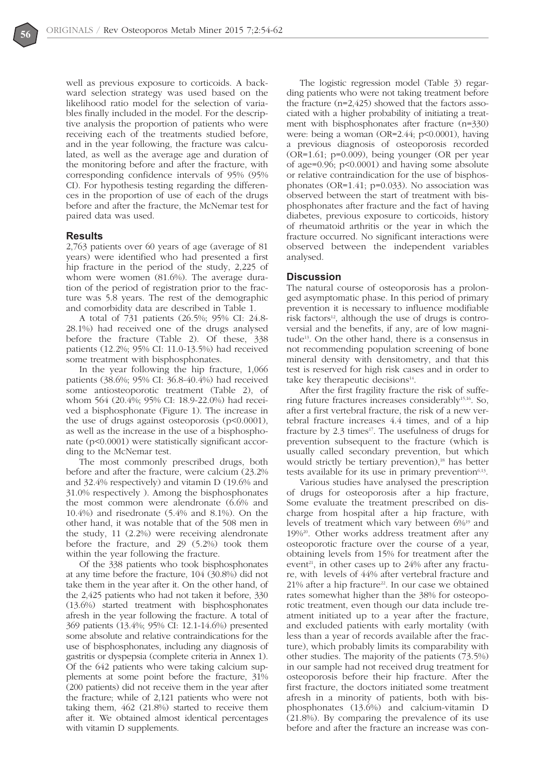

well as previous exposure to corticoids. A backward selection strategy was used based on the likelihood ratio model for the selection of variables finally included in the model. For the descriptive analysis the proportion of patients who were receiving each of the treatments studied before, and in the year following, the fracture was calculated, as well as the average age and duration of the monitoring before and after the fracture, with corresponding confidence intervals of 95% (95% CI). For hypothesis testing regarding the differences in the proportion of use of each of the drugs before and after the fracture, the McNemar test for paired data was used.

### **Results**

2,763 patients over 60 years of age (average of 81 years) were identified who had presented a first hip fracture in the period of the study, 2,225 of whom were women (81.6%). The average duration of the period of registration prior to the fracture was 5.8 years. The rest of the demographic and comorbidity data are described in Table 1.

A total of 731 patients (26.5%; 95% CI: 24.8- 28.1%) had received one of the drugs analysed before the fracture (Table 2). Of these, 338 patients (12.2%; 95% CI: 11.0-13.5%) had received some treatment with bisphosphonates.

In the year following the hip fracture, 1,066 patients (38.6%; 95% CI: 36.8-40.4%) had received some antiosteoporotic treatment (Table 2), of whom 564 (20.4%; 95% CI: 18.9-22.0%) had received a bisphosphonate (Figure 1). The increase in the use of drugs against osteoporosis (p<0.0001), as well as the increase in the use of a bisphosphonate (p<0.0001) were statistically significant according to the McNemar test.

The most commonly prescribed drugs, both before and after the fracture, were calcium (23.2% and 32.4% respectively) and vitamin D (19.6% and 31.0% respectively ). Among the bisphosphonates the most common were alendronate (6.6% and 10.4%) and risedronate (5.4% and 8.1%). On the other hand, it was notable that of the 508 men in the study, 11 (2.2%) were receiving alendronate before the fracture, and 29 (5.2%) took them within the year following the fracture.

Of the 338 patients who took bisphosphonates at any time before the fracture, 104 (30.8%) did not take them in the year after it. On the other hand, of the 2,425 patients who had not taken it before, 330 (13.6%) started treatment with bisphosphonates afresh in the year following the fracture. A total of 369 patients (13.4%; 95% CI: 12.1-14.6%) presented some absolute and relative contraindications for the use of bisphosphonates, including any diagnosis of gastritis or dyspepsia (complete criteria in Annex 1). Of the 642 patients who were taking calcium supplements at some point before the fracture, 31% (200 patients) did not receive them in the year after the fracture; while of 2,121 patients who were not taking them, 462 (21.8%) started to receive them after it. We obtained almost identical percentages with vitamin D supplements.

The logistic regression model (Table 3) regarding patients who were not taking treatment before the fracture (n=2,425) showed that the factors associated with a higher probability of initiating a treatment with bisphosphonates after fracture (n=330) were: being a woman (OR=2.44; p<0.0001), having a previous diagnosis of osteoporosis recorded (OR=1.61; p=0.009), being younger (OR per year of age=0.96; p<0.0001) and having some absolute or relative contraindication for the use of bisphosphonates (OR=1.41; p=0.033). No association was observed between the start of treatment with bisphosphonates after fracture and the fact of having diabetes, previous exposure to corticoids, history of rheumatoid arthritis or the year in which the fracture occurred. No significant interactions were observed between the independent variables analysed.

#### **Discussion**

The natural course of osteoporosis has a prolonged asymptomatic phase. In this period of primary prevention it is necessary to influence modifiable risk factors<sup>12</sup>, although the use of drugs is controversial and the benefits, if any, are of low magnitude13. On the other hand, there is a consensus in not recommending population screening of bone mineral density with densitometry, and that this test is reserved for high risk cases and in order to take key therapeutic decisions $14$ .

After the first fragility fracture the risk of suffering future fractures increases considerably<sup>15,16</sup>. So, after a first vertebral fracture, the risk of a new vertebral fracture increases 4.4 times, and of a hip fracture by  $2.3$  times<sup>17</sup>. The usefulness of drugs for prevention subsequent to the fracture (which is usually called secondary prevention, but which would strictly be tertiary prevention),<sup>18</sup> has better tests available for its use in primary prevention $6,13$ .

Various studies have analysed the prescription of drugs for osteoporosis after a hip fracture, Some evaluate the treatment prescribed on discharge from hospital after a hip fracture, with levels of treatment which vary between 6%19 and 19%20. Other works address treatment after any osteoporotic fracture over the course of a year, obtaining levels from 15% for treatment after the event<sup>21</sup>, in other cases up to  $24\%$  after any fracture, with levels of 44% after vertebral fracture and  $21\%$  after a hip fracture<sup>22</sup>. In our case we obtained rates somewhat higher than the 38% for osteoporotic treatment, even though our data include treatment initiated up to a year after the fracture, and excluded patients with early mortality (with less than a year of records available after the fracture), which probably limits its comparability with other studies. The majority of the patients (73.5%) in our sample had not received drug treatment for osteoporosis before their hip fracture. After the first fracture, the doctors initiated some treatment afresh in a minority of patients, both with bisphosphonates (13.6%) and calcium-vitamin D (21.8%). By comparing the prevalence of its use before and after the fracture an increase was con-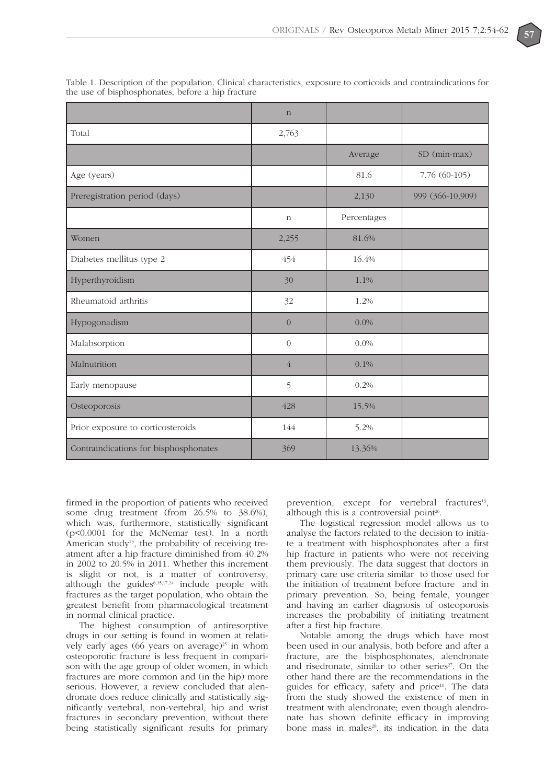|                                       | $\mathbf n$    |             |                  |
|---------------------------------------|----------------|-------------|------------------|
| Total                                 | 2,763          |             |                  |
|                                       |                | Average     | SD (min-max)     |
| Age (years)                           |                | 81.6        | 7.76 (60-105)    |
| Preregistration period (days)         |                | 2,130       | 999 (366-10,909) |
|                                       | $\mathbf n$    | Percentages |                  |
| Women                                 | 2,255          | 81.6%       |                  |
| Diabetes mellitus type 2              | 454            | 16.4%       |                  |
| Hyperthyroidism                       | 30             | 1.1%        |                  |
| Rheumatoid arthritis                  | 32             | 1.2%        |                  |
| Hypogonadism                          | $\overline{0}$ | $0.0\%$     |                  |
| Malabsorption                         | $\Omega$       | $0.0\%$     |                  |
| Malnutrition                          | $\overline{4}$ | 0.1%        |                  |
| Early menopause                       | 5              | 0.2%        |                  |
| Osteoporosis                          | 428            | 15.5%       |                  |
| Prior exposure to corticosteroids     | 144            | 5.2%        |                  |
| Contraindications for bisphosphonates | 369            | 13.36%      |                  |

Table 1. Description of the population. Clinical characteristics, exposure to corticoids and contraindications for the use of bisphosphonates, before a hip fracture

firmed in the proportion of patients who received some drug treatment (from 26.5% to 38.6%), which was, furthermore, statistically significant (p<0.0001 for the McNemar test). In a north American study<sup>23</sup>, the probability of receiving treatment after a hip fracture diminished from 40.2% in 2002 to 20.5% in 2011. Whether this increment is slight or not, is a matter of controversy, although the guides $6,15,17,24$  include people with fractures as the target population, who obtain the greatest benefit from pharmacological treatment in normal clinical practice.

The highest consumption of antiresorptive drugs in our setting is found in women at relatively early ages (66 years on average)<sup>25</sup> in whom osteoporotic fracture is less frequent in comparison with the age group of older women, in which fractures are more common and (in the hip) more serious. However, a review concluded that alendronate does reduce clinically and statistically significantly vertebral, non-vertebral, hip and wrist fractures in secondary prevention, without there being statistically significant results for primary

prevention, except for vertebral fractures<sup>13</sup>, although this is a controversial point $26$ .

The logistical regression model allows us to analyse the factors related to the decision to initiate a treatment with bisphosphonates after a first hip fracture in patients who were not receiving them previously. The data suggest that doctors in primary care use criteria similar to those used for the initiation of treatment before fracture and in primary prevention. So, being female, younger and having an earlier diagnosis of osteoporosis increases the probability of initiating treatment after a first hip fracture.

Notable among the drugs which have most been used in our analysis, both before and after a fracture, are the bisphosphonates, alendronate and risedronate, similar to other series<sup>27</sup>. On the other hand there are the recommendations in the guides for efficacy, safety and price<sup>10</sup>. The data from the study showed the existence of men in treatment with alendronate; even though alendronate has shown definite efficacy in improving bone mass in males<sup>28</sup>, its indication in the data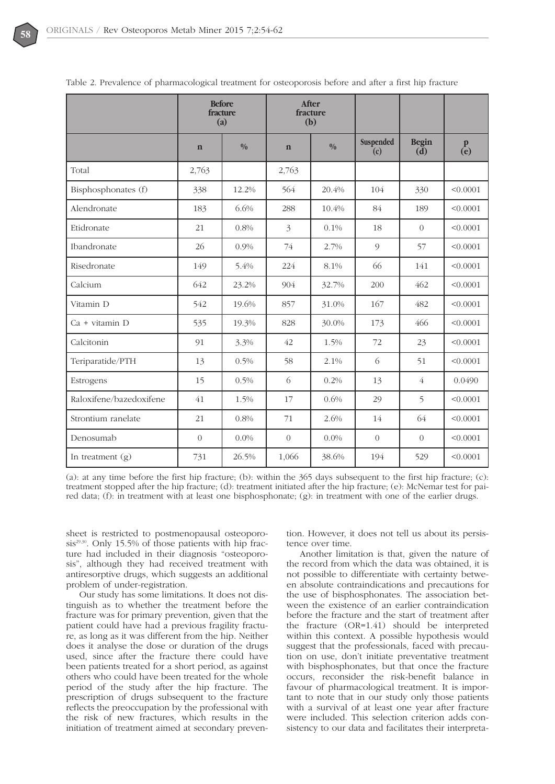

|                         |                | <b>Before</b><br>fracture<br>(a) |                | After<br>fracture<br>(b) |                  |                               |                                    |
|-------------------------|----------------|----------------------------------|----------------|--------------------------|------------------|-------------------------------|------------------------------------|
|                         | $\mathbf n$    | $\frac{0}{0}$                    | $\mathbf n$    | $\frac{0}{0}$            | Suspended<br>(c) | <b>Begin</b><br>$(\tilde{d})$ | $\mathbf{p}$<br>$\mathbf{\hat{e}}$ |
| Total                   | 2,763          |                                  | 2,763          |                          |                  |                               |                                    |
| Bisphosphonates (f)     | 338            | 12.2%                            | 564            | 20.4%                    | 104              | 330                           | < 0.0001                           |
| Alendronate             | 183            | 6.6%                             | 288            | 10.4%                    | 84               | 189                           | < 0.0001                           |
| Etidronate              | 21             | 0.8%                             | 3              | 0.1%                     | 18               | $\Omega$                      | < 0.0001                           |
| Ibandronate             | 26             | 0.9%                             | 74             | 2.7%                     | 9                | 57                            | < 0.0001                           |
| Risedronate             | 149            | 5.4%                             | 224            | 8.1%                     | 66               | 141                           | < 0.0001                           |
| Calcium                 | 642            | 23.2%                            | 904            | 32.7%                    | 200              | 462                           | < 0.0001                           |
| Vitamin D               | 542            | 19.6%                            | 857            | 31.0%                    | 167              | 482                           | < 0.0001                           |
| $Ca + vitamin D$        | 535            | 19.3%                            | 828            | 30.0%                    | 173              | 466                           | < 0.0001                           |
| Calcitonin              | 91             | 3.3%                             | 42             | 1.5%                     | 72               | 23                            | < 0.0001                           |
| Teriparatide/PTH        | 13             | 0.5%                             | 58             | 2.1%                     | 6                | 51                            | < 0.0001                           |
| Estrogens               | 15             | 0.5%                             | 6              | 0.2%                     | 13               | $\overline{4}$                | 0.0490                             |
| Raloxifene/bazedoxifene | 41             | 1.5%                             | 17             | 0.6%                     | 29               | 5                             | < 0.0001                           |
| Strontium ranelate      | 21             | 0.8%                             | 71             | 2.6%                     | 14               | 64                            | < 0.0001                           |
| Denosumab               | $\overline{0}$ | 0.0%                             | $\overline{0}$ | $0.0\%$                  | $\sqrt{a}$       | $\Omega$                      | < 0.0001                           |
| In treatment $(g)$      | 731            | 26.5%                            | 1,066          | 38.6%                    | 194              | 529                           | < 0.0001                           |

Table 2. Prevalence of pharmacological treatment for osteoporosis before and after a first hip fracture

(a): at any time before the first hip fracture; (b): within the 365 days subsequent to the first hip fracture; (c): treatment stopped after the hip fracture; (d): treatment initiated after the hip fracture; (e): McNemar test for paired data; (f): in treatment with at least one bisphosphonate; (g): in treatment with one of the earlier drugs.

sheet is restricted to postmenopausal osteoporosis $29,30$ . Only 15.5% of those patients with hip fracture had included in their diagnosis "osteoporosis", although they had received treatment with antiresorptive drugs, which suggests an additional problem of under-registration.

Our study has some limitations. It does not distinguish as to whether the treatment before the fracture was for primary prevention, given that the patient could have had a previous fragility fracture, as long as it was different from the hip. Neither does it analyse the dose or duration of the drugs used, since after the fracture there could have been patients treated for a short period, as against others who could have been treated for the whole period of the study after the hip fracture. The prescription of drugs subsequent to the fracture reflects the preoccupation by the professional with the risk of new fractures, which results in the initiation of treatment aimed at secondary prevention. However, it does not tell us about its persistence over time.

Another limitation is that, given the nature of the record from which the data was obtained, it is not possible to differentiate with certainty between absolute contraindications and precautions for the use of bisphosphonates. The association between the existence of an earlier contraindication before the fracture and the start of treatment after the fracture (OR=1.41) should be interpreted within this context. A possible hypothesis would suggest that the professionals, faced with precaution on use, don't initiate preventative treatment with bisphosphonates, but that once the fracture occurs, reconsider the risk-benefit balance in favour of pharmacological treatment. It is important to note that in our study only those patients with a survival of at least one year after fracture were included. This selection criterion adds consistency to our data and facilitates their interpreta-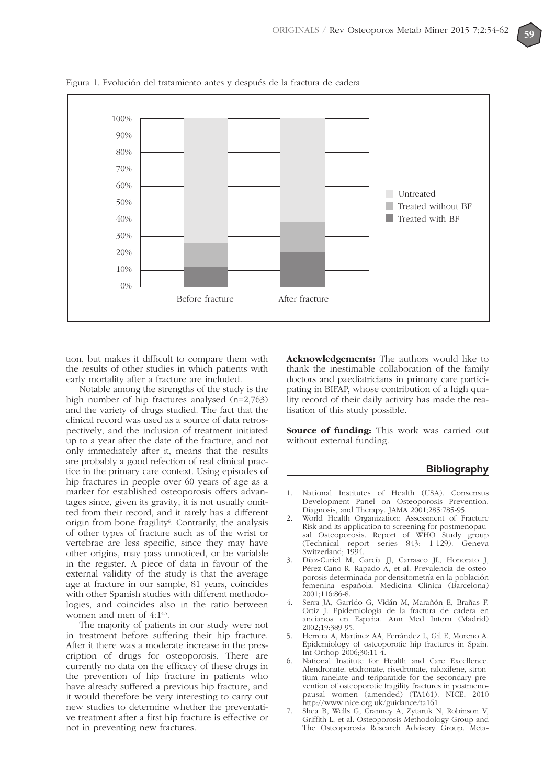

Figura 1. Evolución del tratamiento antes y después de la fractura de cadera

tion, but makes it difficult to compare them with the results of other studies in which patients with early mortality after a fracture are included.

Notable among the strengths of the study is the high number of hip fractures analysed (n=2,763) and the variety of drugs studied. The fact that the clinical record was used as a source of data retrospectively, and the inclusion of treatment initiated up to a year after the date of the fracture, and not only immediately after it, means that the results are probably a good refection of real clinical practice in the primary care context. Using episodes of hip fractures in people over 60 years of age as a marker for established osteoporosis offers advantages since, given its gravity, it is not usually omitted from their record, and it rarely has a different origin from bone fragility<sup>6</sup>. Contrarily, the analysis of other types of fracture such as of the wrist or vertebrae are less specific, since they may have other origins, may pass unnoticed, or be variable in the register. A piece of data in favour of the external validity of the study is that the average age at fracture in our sample, 81 years, coincides with other Spanish studies with different methodologies, and coincides also in the ratio between women and men of 4:1<sup>4,5</sup>.

The majority of patients in our study were not in treatment before suffering their hip fracture. After it there was a moderate increase in the prescription of drugs for osteoporosis. There are currently no data on the efficacy of these drugs in the prevention of hip fracture in patients who have already suffered a previous hip fracture, and it would therefore be very interesting to carry out new studies to determine whether the preventative treatment after a first hip fracture is effective or not in preventing new fractures.

**Acknowledgements:** The authors would like to thank the inestimable collaboration of the family doctors and paediatricians in primary care participating in BIFAP, whose contribution of a high quality record of their daily activity has made the realisation of this study possible.

**Source of funding:** This work was carried out without external funding.

### **Bibliography**

- 1. National Institutes of Health (USA). Consensus Development Panel on Osteoporosis Prevention, Diagnosis, and Therapy. JAMA 2001;285:785-95.
- 2. World Health Organization: Assessment of Fracture Risk and its application to screening for postmenopausal Osteoporosis. Report of WHO Study group (Technical report series 843: 1-129). Geneva Switzerland; 1994.
- 3. Díaz-Curiel M, García JJ, Carrasco JL, Honorato J, Pérez-Cano R, Rapado A, et al. Prevalencia de osteoporosis determinada por densitometría en la población femenina española. Medicina Clínica (Barcelona) 2001;116:86-8.
- 4. Serra JA, Garrido G, Vidán M, Marañón E, Brañas F, Ortiz J. Epidemiología de la fractura de cadera en ancianos en España. Ann Med Intern (Madrid) 2002;19:389-95.
- 5. Herrera A, Martínez AA, Ferrández L, Gil E, Moreno A. Epidemiology of osteoporotic hip fractures in Spain. Int Orthop 2006;30:11-4.
- National Institute for Health and Care Excellence. Alendronate, etidronate, risedronate, raloxifene, strontium ranelate and teriparatide for the secondary prevention of osteoporotic fragility fractures in postmenopausal women (amended) (TA161). NICE, 2010 http://www.nice.org.uk/guidance/ta161.
- 7. Shea B, Wells G, Cranney A, Zytaruk N, Robinson V, Griffith L, et al. Osteoporosis Methodology Group and The Osteoporosis Research Advisory Group. Meta-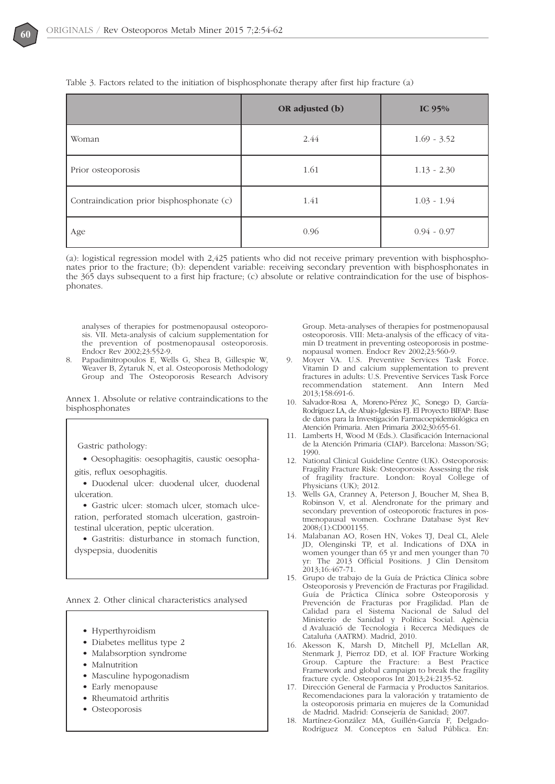|                                           | OR adjusted (b) | IC $95%$      |
|-------------------------------------------|-----------------|---------------|
| Woman                                     | 2.44            | $1.69 - 3.52$ |
| Prior osteoporosis                        | 1.61            | $1.13 - 2.30$ |
| Contraindication prior bisphosphonate (c) | 1.41            | $1.03 - 1.94$ |
| Age                                       | 0.96            | $0.94 - 0.97$ |

Table 3. Factors related to the initiation of bisphosphonate therapy after first hip fracture (a)

(a): logistical regression model with 2,425 patients who did not receive primary prevention with bisphosphonates prior to the fracture; (b): dependent variable: receiving secondary prevention with bisphosphonates in the 365 days subsequent to a first hip fracture; (c) absolute or relative contraindication for the use of bisphosphonates.

analyses of therapies for postmenopausal osteoporosis. VII. Meta-analysis of calcium supplementation for the prevention of postmenopausal osteoporosis. Endocr Rev 2002;23:552-9.

8. Papadimitropoulos E, Wells G, Shea B, Gillespie W, Weaver B, Zytaruk N, et al. Osteoporosis Methodology Group and The Osteoporosis Research Advisory

Annex 1. Absolute or relative contraindications to the bisphosphonates

Gastric pathology:

- Oesophagitis: oesophagitis, caustic oesophagitis, reflux oesophagitis.
- Duodenal ulcer: duodenal ulcer, duodenal ulceration.
- Gastric ulcer: stomach ulcer, stomach ulceration, perforated stomach ulceration, gastrointestinal ulceration, peptic ulceration.

• Gastritis: disturbance in stomach function, dyspepsia, duodenitis

Annex 2. Other clinical characteristics analysed

- Hyperthyroidism
- Diabetes mellitus type 2
- Malabsorption syndrome
- Malnutrition
- Masculine hypogonadism
- Early menopause
- Rheumatoid arthritis
- Osteoporosis

Group. Meta-analyses of therapies for postmenopausal osteoporosis. VIII: Meta-analysis of the efficacy of vitamin D treatment in preventing osteoporosis in postmenopausal women. Endocr Rev 2002;23:560-9.

- Moyer VA. U.S. Preventive Services Task Force. Vitamin D and calcium supplementation to prevent fractures in adults: U.S. Preventive Services Task Force recommendation statement. Ann Intern Med 2013;158:691-6.
- 10. Salvador-Rosa A, Moreno-Pérez JC, Sonego D, García-Rodríguez LA, de Abajo-Iglesias FJ. El Proyecto BIFAP: Base de datos para la Investigación Farmacoepidemiológica en Atención Primaria. Aten Primaria 2002;30:655-61.
- 11. Lamberts H, Wood M (Eds.). Clasificación Internacional de la Atención Primaria (CIAP). Barcelona: Masson/SG; 1990.
- 12. National Clinical Guideline Centre (UK). Osteoporosis: Fragility Fracture Risk: Osteoporosis: Assessing the risk of fragility fracture. London: Royal College of Physicians (UK); 2012.
- 13. Wells GA, Cranney A, Peterson J, Boucher M, Shea B, Robinson V, et al. Alendronate for the primary and secondary prevention of osteoporotic fractures in postmenopausal women. Cochrane Database Syst Rev 2008;(1):CD001155.
- 14. Malabanan AO, Rosen HN, Vokes TJ, Deal CL, Alele JD, Olenginski TP, et al. Indications of DXA in women younger than 65 yr and men younger than 70 yr: The 2013 Official Positions. J Clin Densitom 2013;16:467-71.
- 15. Grupo de trabajo de la Guía de Práctica Clínica sobre Osteoporosis y Prevención de Fracturas por Fragilidad. Guía de Práctica Clínica sobre Osteoporosis y Prevención de Fracturas por Fragilidad. Plan de Calidad para el Sistema Nacional de Salud del Ministerio de Sanidad y Política Social. Agència d Avaluació de Tecnologia i Recerca Mèdiques de Cataluña (AATRM). Madrid, 2010.
- 16. Akesson K, Marsh D, Mitchell PJ, McLellan AR, Stenmark J, Pierroz DD, et al. IOF Fracture Working Group. Capture the Fracture: a Best Practice Framework and global campaign to break the fragility fracture cycle. Osteoporos Int 2013;24:2135-52.
- 17. Dirección General de Farmacia y Productos Sanitarios. Recomendaciones para la valoración y tratamiento de la osteoporosis primaria en mujeres de la Comunidad de Madrid. Madrid: Consejería de Sanidad; 2007.
- 18. Martínez-González MA, Guillén-García F, Delgado-Rodríguez M. Conceptos en Salud Pública. En: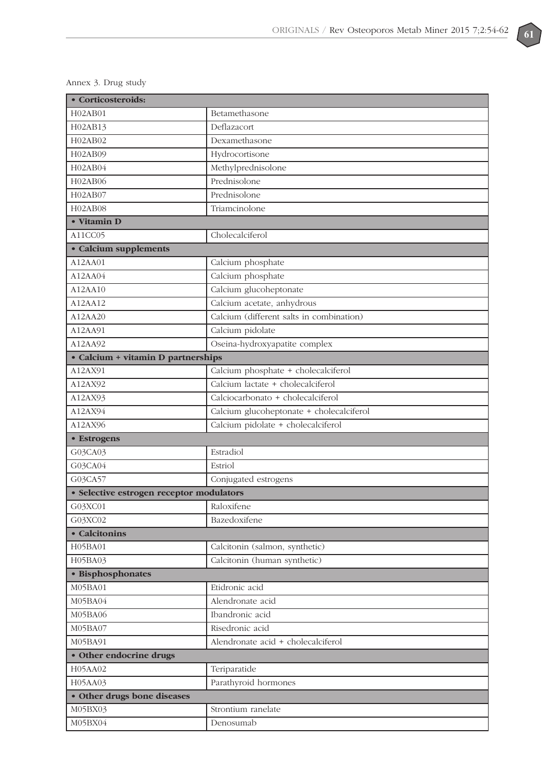| · Corticosteroids:                       |                                          |  |
|------------------------------------------|------------------------------------------|--|
| H02AB01                                  | Betamethasone                            |  |
| H02AB13                                  | Deflazacort                              |  |
| H02AB02                                  | Dexamethasone                            |  |
| H02AB09                                  | Hydrocortisone                           |  |
| H02AB04                                  | Methylprednisolone                       |  |
| H02AB06                                  | Prednisolone                             |  |
| H02AB07                                  | Prednisolone                             |  |
| H02AB08                                  | Triamcinolone                            |  |
| • Vitamin D                              |                                          |  |
| A11CC05                                  | Cholecalciferol                          |  |
| • Calcium supplements                    |                                          |  |
| A12AA01                                  | Calcium phosphate                        |  |
| A12AA04                                  | Calcium phosphate                        |  |
| A12AA10                                  | Calcium glucoheptonate                   |  |
| A12AA12                                  | Calcium acetate, anhydrous               |  |
| A12AA20                                  | Calcium (different salts in combination) |  |
| A12AA91                                  | Calcium pidolate                         |  |
| A12AA92                                  | Oseina-hydroxyapatite complex            |  |
| • Calcium + vitamin D partnerships       |                                          |  |
| A12AX91                                  | Calcium phosphate + cholecalciferol      |  |
| A12AX92                                  | Calcium lactate + cholecalciferol        |  |
| A12AX93                                  | Calciocarbonato + cholecalciferol        |  |
| A12AX94                                  | Calcium glucoheptonate + cholecalciferol |  |
| A12AX96                                  | Calcium pidolate + cholecalciferol       |  |
| • Estrogens                              |                                          |  |
| G03CA03                                  | Estradiol                                |  |
| G03CA04                                  | Estriol                                  |  |
| G03CA57                                  | Conjugated estrogens                     |  |
| · Selective estrogen receptor modulators |                                          |  |
| G03XC01                                  | Raloxifene                               |  |
| G03XC02                                  | Bazedoxifene                             |  |
| • Calcitonins                            |                                          |  |
| H05BA01                                  | Calcitonin (salmon, synthetic)           |  |
| H05BA03                                  | Calcitonin (human synthetic)             |  |
| · Bisphosphonates                        |                                          |  |
| M05BA01                                  | Etidronic acid                           |  |
| M05BA04                                  | Alendronate acid                         |  |
| M05BA06                                  | Ibandronic acid                          |  |
| M05BA07                                  | Risedronic acid                          |  |
| M05BA91                                  | Alendronate acid + cholecalciferol       |  |
| • Other endocrine drugs                  |                                          |  |
| H05AA02                                  | Teriparatide                             |  |
| H05AA03                                  | Parathyroid hormones                     |  |
| · Other drugs bone diseases              |                                          |  |
| M05BX03                                  | Strontium ranelate                       |  |
| M05BX04                                  | Denosumab                                |  |

Annex 3. Drug study